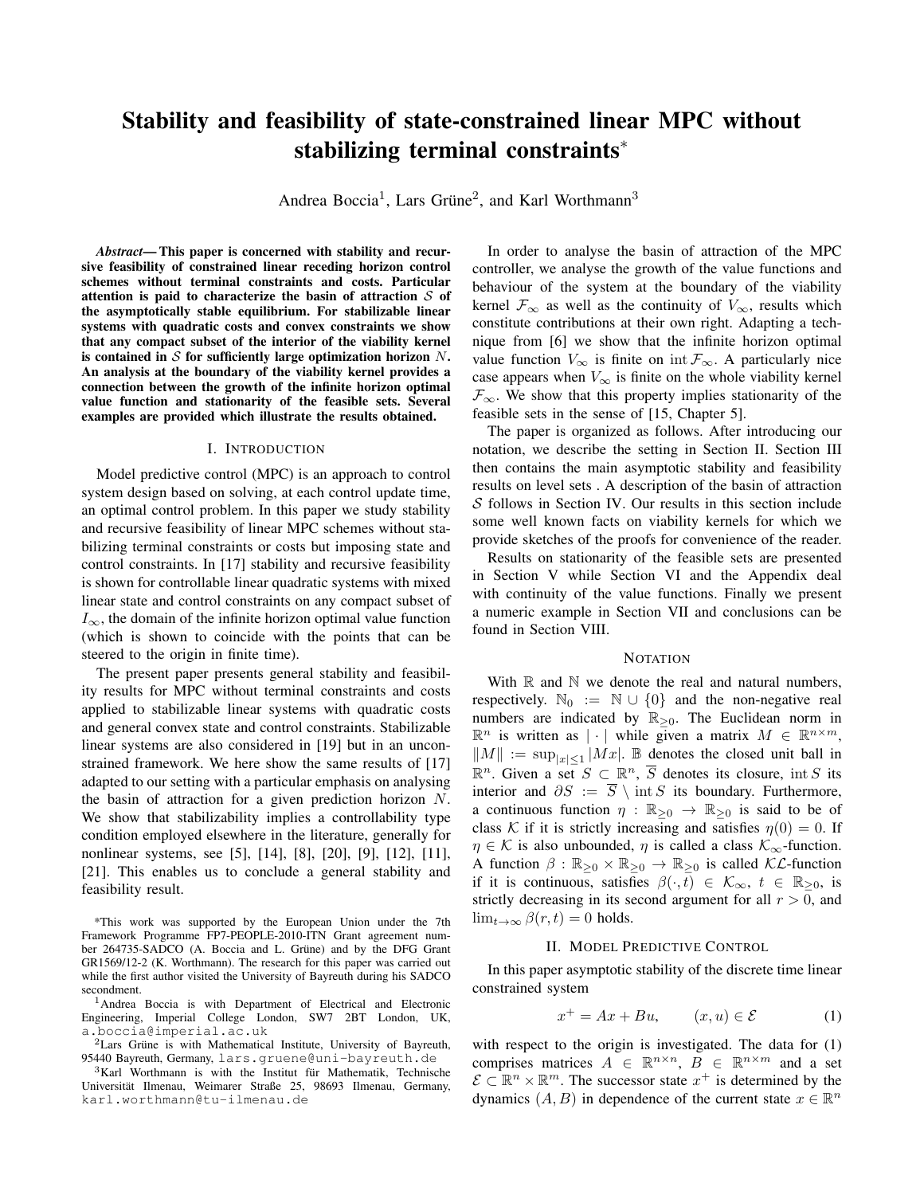# Stability and feasibility of state-constrained linear MPC without stabilizing terminal constraints<sup>∗</sup>

Andrea Boccia<sup>1</sup>, Lars Grüne<sup>2</sup>, and Karl Worthmann<sup>3</sup>

*Abstract*— This paper is concerned with stability and recursive feasibility of constrained linear receding horizon control schemes without terminal constraints and costs. Particular attention is paid to characterize the basin of attraction  $S$  of the asymptotically stable equilibrium. For stabilizable linear systems with quadratic costs and convex constraints we show that any compact subset of the interior of the viability kernel is contained in  $S$  for sufficiently large optimization horizon  $N$ . An analysis at the boundary of the viability kernel provides a connection between the growth of the infinite horizon optimal value function and stationarity of the feasible sets. Several examples are provided which illustrate the results obtained.

#### I. INTRODUCTION

Model predictive control (MPC) is an approach to control system design based on solving, at each control update time, an optimal control problem. In this paper we study stability and recursive feasibility of linear MPC schemes without stabilizing terminal constraints or costs but imposing state and control constraints. In [17] stability and recursive feasibility is shown for controllable linear quadratic systems with mixed linear state and control constraints on any compact subset of  $I_{\infty}$ , the domain of the infinite horizon optimal value function (which is shown to coincide with the points that can be steered to the origin in finite time).

The present paper presents general stability and feasibility results for MPC without terminal constraints and costs applied to stabilizable linear systems with quadratic costs and general convex state and control constraints. Stabilizable linear systems are also considered in [19] but in an unconstrained framework. We here show the same results of [17] adapted to our setting with a particular emphasis on analysing the basin of attraction for a given prediction horizon N. We show that stabilizability implies a controllability type condition employed elsewhere in the literature, generally for nonlinear systems, see [5], [14], [8], [20], [9], [12], [11], [21]. This enables us to conclude a general stability and feasibility result.

\*This work was supported by the European Union under the 7th Framework Programme FP7-PEOPLE-2010-ITN Grant agreement number 264735-SADCO (A. Boccia and L. Grüne) and by the DFG Grant GR1569/12-2 (K. Worthmann). The research for this paper was carried out while the first author visited the University of Bayreuth during his SADCO secondment.

<sup>1</sup>Andrea Boccia is with Department of Electrical and Electronic Engineering, Imperial College London, SW7 2BT London, UK, a.boccia@imperial.ac.uk

 $3$ Karl Worthmann is with the Institut für Mathematik, Technische Universität Ilmenau, Weimarer Straße 25, 98693 Ilmenau, Germany, karl.worthmann@tu-ilmenau.de

In order to analyse the basin of attraction of the MPC controller, we analyse the growth of the value functions and behaviour of the system at the boundary of the viability kernel  $\mathcal{F}_{\infty}$  as well as the continuity of  $V_{\infty}$ , results which constitute contributions at their own right. Adapting a technique from [6] we show that the infinite horizon optimal value function  $V_{\infty}$  is finite on int  $\mathcal{F}_{\infty}$ . A particularly nice case appears when  $V_{\infty}$  is finite on the whole viability kernel  $\mathcal{F}_{\infty}$ . We show that this property implies stationarity of the feasible sets in the sense of [15, Chapter 5].

The paper is organized as follows. After introducing our notation, we describe the setting in Section II. Section III then contains the main asymptotic stability and feasibility results on level sets . A description of the basin of attraction S follows in Section IV. Our results in this section include some well known facts on viability kernels for which we provide sketches of the proofs for convenience of the reader.

Results on stationarity of the feasible sets are presented in Section V while Section VI and the Appendix deal with continuity of the value functions. Finally we present a numeric example in Section VII and conclusions can be found in Section VIII.

#### **NOTATION**

With  $\mathbb R$  and  $\mathbb N$  we denote the real and natural numbers, respectively.  $\mathbb{N}_0 := \mathbb{N} \cup \{0\}$  and the non-negative real numbers are indicated by  $\mathbb{R}_{\geq 0}$ . The Euclidean norm in  $\mathbb{R}^n$  is written as  $|\cdot|$  while given a matrix  $M \in \mathbb{R}^{n \times m}$ ,  $||M|| := \sup_{|x| \leq 1} |Mx|$ . B denotes the closed unit ball in  $\mathbb{R}^n$ . Given a set  $S \subset \mathbb{R}^n$ ,  $\overline{S}$  denotes its closure, int S its interior and  $\partial S := \overline{S} \setminus \text{int } S$  its boundary. Furthermore, a continuous function  $\eta : \mathbb{R}_{\geq 0} \to \mathbb{R}_{\geq 0}$  is said to be of class K if it is strictly increasing and satisfies  $\eta(0) = 0$ . If  $\eta \in \mathcal{K}$  is also unbounded,  $\eta$  is called a class  $\mathcal{K}_{\infty}$ -function. A function  $\beta : \mathbb{R}_{\geq 0} \times \mathbb{R}_{\geq 0} \to \mathbb{R}_{\geq 0}$  is called  $\mathcal{KL}\text{-function}$ if it is continuous, satisfies  $\beta(\cdot,t) \in \mathcal{K}_{\infty}, t \in \mathbb{R}_{\geq 0}$ , is strictly decreasing in its second argument for all  $r > 0$ , and  $\lim_{t\to\infty}\beta(r,t)=0$  holds.

#### II. MODEL PREDICTIVE CONTROL

In this paper asymptotic stability of the discrete time linear constrained system

$$
x^{+} = Ax + Bu, \qquad (x, u) \in \mathcal{E} \tag{1}
$$

with respect to the origin is investigated. The data for (1) comprises matrices  $A \in \mathbb{R}^{n \times n}$ ,  $B \in \mathbb{R}^{n \times m}$  and a set  $\mathcal{E} \subset \mathbb{R}^n \times \mathbb{R}^m$ . The successor state  $x^+$  is determined by the dynamics  $(A, B)$  in dependence of the current state  $x \in \mathbb{R}^n$ 

 $2$ Lars Grüne is with Mathematical Institute, University of Bayreuth, 95440 Bayreuth, Germany, lars.gruene@uni-bayreuth.de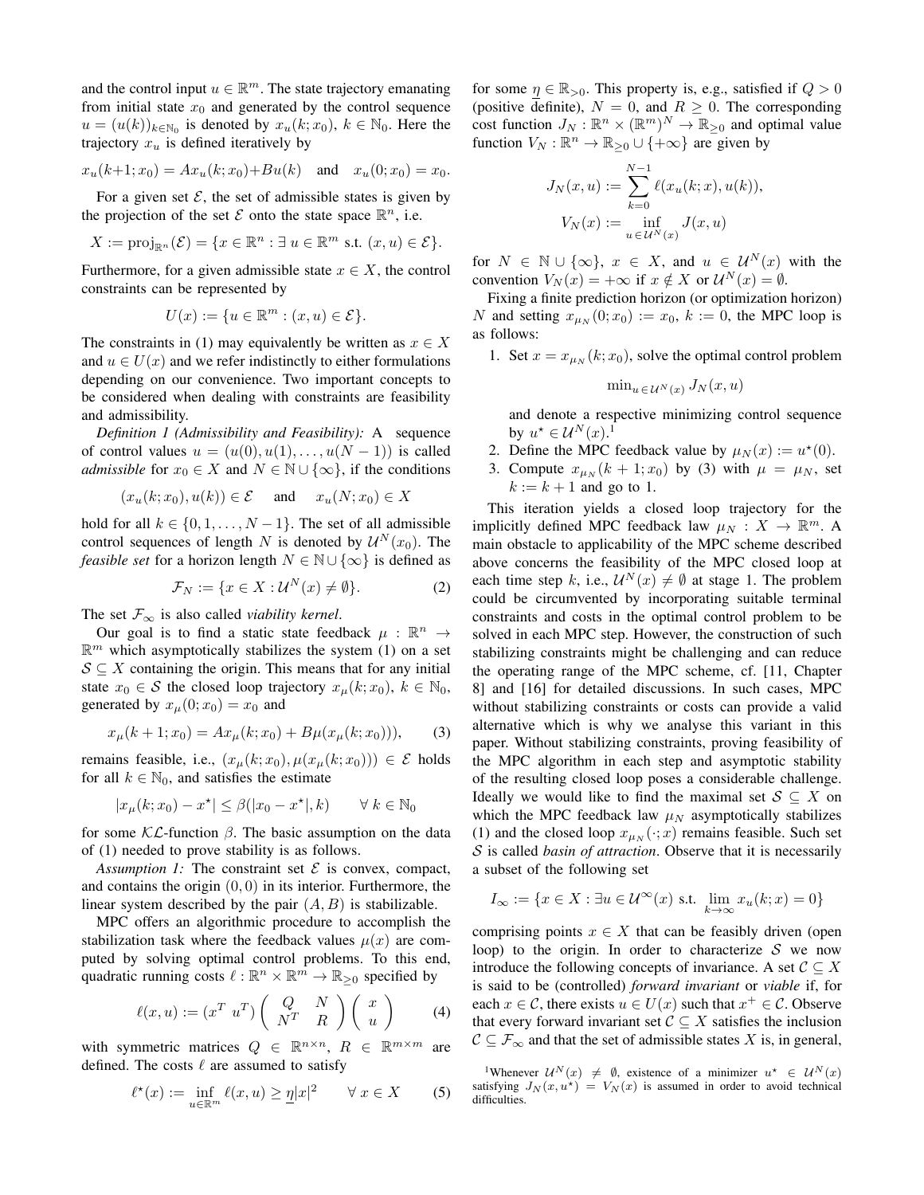and the control input  $u \in \mathbb{R}^m$ . The state trajectory emanating from initial state  $x_0$  and generated by the control sequence  $u = (u(k))_{k \in \mathbb{N}_0}$  is denoted by  $x_u(k; x_0)$ ,  $k \in \mathbb{N}_0$ . Here the trajectory  $x_u$  is defined iteratively by

$$
x_u(k+1; x_0) = Ax_u(k; x_0) + Bu(k)
$$
 and  $x_u(0; x_0) = x_0$ .

For a given set  $\mathcal{E}$ , the set of admissible states is given by the projection of the set  $\mathcal E$  onto the state space  $\mathbb R^n$ , i.e.

$$
X := \text{proj}_{\mathbb{R}^n}(\mathcal{E}) = \{x \in \mathbb{R}^n : \exists u \in \mathbb{R}^m \text{ s.t. } (x, u) \in \mathcal{E}\}.
$$

Furthermore, for a given admissible state  $x \in X$ , the control constraints can be represented by

$$
U(x) := \{ u \in \mathbb{R}^m : (x, u) \in \mathcal{E} \}.
$$

The constraints in (1) may equivalently be written as  $x \in X$ and  $u \in U(x)$  and we refer indistinctly to either formulations depending on our convenience. Two important concepts to be considered when dealing with constraints are feasibility and admissibility.

*Definition 1 (Admissibility and Feasibility):* A sequence of control values  $u = (u(0), u(1), \ldots, u(N-1))$  is called *admissible* for  $x_0 \in X$  and  $N \in \mathbb{N} \cup \{\infty\}$ , if the conditions

$$
(x_u(k; x_0), u(k)) \in \mathcal{E} \quad \text{and} \quad x_u(N; x_0) \in X
$$

hold for all  $k \in \{0, 1, \ldots, N-1\}$ . The set of all admissible control sequences of length N is denoted by  $\mathcal{U}^{N}(x_0)$ . The *feasible set* for a horizon length  $N \in \mathbb{N} \cup \{\infty\}$  is defined as

$$
\mathcal{F}_N := \{ x \in X : \mathcal{U}^N(x) \neq \emptyset \}. \tag{2}
$$

The set  $\mathcal{F}_{\infty}$  is also called *viability kernel*.

Our goal is to find a static state feedback  $\mu : \mathbb{R}^n \to$  $\mathbb{R}^m$  which asymptotically stabilizes the system (1) on a set  $S \subseteq X$  containing the origin. This means that for any initial state  $x_0 \in S$  the closed loop trajectory  $x_\mu(k; x_0)$ ,  $k \in \mathbb{N}_0$ , generated by  $x_{\mu}(0; x_0) = x_0$  and

$$
x_{\mu}(k+1; x_0) = Ax_{\mu}(k; x_0) + B\mu(x_{\mu}(k; x_0))), \qquad (3)
$$

remains feasible, i.e.,  $(x_\mu(k; x_0), \mu(x_\mu(k; x_0))) \in \mathcal{E}$  holds for all  $k \in \mathbb{N}_0$ , and satisfies the estimate

$$
|x_{\mu}(k;x_0)-x^\star|\leq \beta(|x_0-x^\star|,k)\qquad \forall\ k\in\mathbb{N}_0
$$

for some  $\mathcal{KL}$ -function  $\beta$ . The basic assumption on the data of (1) needed to prove stability is as follows.

*Assumption 1:* The constraint set  $\mathcal{E}$  is convex, compact, and contains the origin  $(0, 0)$  in its interior. Furthermore, the linear system described by the pair  $(A, B)$  is stabilizable.

MPC offers an algorithmic procedure to accomplish the stabilization task where the feedback values  $\mu(x)$  are computed by solving optimal control problems. To this end, quadratic running costs  $\ell : \mathbb{R}^n \times \mathbb{R}^m \to \mathbb{R}_{\geq 0}$  specified by

$$
\ell(x, u) := (x^T u^T) \begin{pmatrix} Q & N \\ N^T & R \end{pmatrix} \begin{pmatrix} x \\ u \end{pmatrix}
$$
 (4)

with symmetric matrices  $Q \in \mathbb{R}^{n \times n}$ ,  $R \in \mathbb{R}^{m \times m}$  are defined. The costs  $\ell$  are assumed to satisfy

$$
\ell^{\star}(x) := \inf_{u \in \mathbb{R}^m} \ell(x, u) \ge \underline{\eta} |x|^2 \qquad \forall \ x \in X \tag{5}
$$

for some  $\eta \in \mathbb{R}_{>0}$ . This property is, e.g., satisfied if  $Q > 0$ (positive definite),  $N = 0$ , and  $R \ge 0$ . The corresponding cost function  $J_N : \mathbb{R}^n \times (\mathbb{R}^m)^N \to \mathbb{R}_{\geq 0}$  and optimal value function  $V_N : \mathbb{R}^n \to \mathbb{R}_{\geq 0} \cup \{+\infty\}$  are given by

$$
J_N(x, u) := \sum_{k=0}^{N-1} \ell(x_u(k; x), u(k)),
$$
  

$$
V_N(x) := \inf_{u \in U^N(x)} J(x, u)
$$

for  $N \in \mathbb{N} \cup \{\infty\}, x \in X$ , and  $u \in \mathcal{U}^{N}(x)$  with the convention  $V_N(x) = +\infty$  if  $x \notin X$  or  $\mathcal{U}^N(x) = \emptyset$ .

Fixing a finite prediction horizon (or optimization horizon) N and setting  $x_{\mu_N}(0; x_0) := x_0$ ,  $k := 0$ , the MPC loop is as follows:

1. Set  $x = x_{\mu_N}(k; x_0)$ , solve the optimal control problem

$$
\min_{u \in \mathcal{U}^N(x)} J_N(x, u)
$$

and denote a respective minimizing control sequence by  $u^* \in \mathcal{U}^N(x)$ .<sup>1</sup>

- 2. Define the MPC feedback value by  $\mu_N(x) := u^*(0)$ .
- 3. Compute  $x_{\mu_N}(k + 1; x_0)$  by (3) with  $\mu = \mu_N$ , set  $k := k + 1$  and go to 1.

This iteration yields a closed loop trajectory for the implicitly defined MPC feedback law  $\mu_N : X \to \mathbb{R}^m$ . A main obstacle to applicability of the MPC scheme described above concerns the feasibility of the MPC closed loop at each time step k, i.e.,  $U^N(x) \neq \emptyset$  at stage 1. The problem could be circumvented by incorporating suitable terminal constraints and costs in the optimal control problem to be solved in each MPC step. However, the construction of such stabilizing constraints might be challenging and can reduce the operating range of the MPC scheme, cf. [11, Chapter 8] and [16] for detailed discussions. In such cases, MPC without stabilizing constraints or costs can provide a valid alternative which is why we analyse this variant in this paper. Without stabilizing constraints, proving feasibility of the MPC algorithm in each step and asymptotic stability of the resulting closed loop poses a considerable challenge. Ideally we would like to find the maximal set  $S \subseteq X$  on which the MPC feedback law  $\mu_N$  asymptotically stabilizes (1) and the closed loop  $x_{\mu_N}(\cdot; x)$  remains feasible. Such set S is called *basin of attraction*. Observe that it is necessarily a subset of the following set

$$
I_{\infty} := \{ x \in X : \exists u \in \mathcal{U}^{\infty}(x) \text{ s.t. } \lim_{k \to \infty} x_u(k; x) = 0 \}
$$

comprising points  $x \in X$  that can be feasibly driven (open loop) to the origin. In order to characterize  $S$  we now introduce the following concepts of invariance. A set  $C \subseteq X$ is said to be (controlled) *forward invariant* or *viable* if, for each  $x \in \mathcal{C}$ , there exists  $u \in U(x)$  such that  $x^+ \in \mathcal{C}$ . Observe that every forward invariant set  $C \subseteq X$  satisfies the inclusion  $\mathcal{C} \subseteq \mathcal{F}_{\infty}$  and that the set of admissible states X is, in general,

<sup>&</sup>lt;sup>1</sup>Whenever  $\mathcal{U}^{N}(x) \neq \emptyset$ , existence of a minimizer  $u^{*} \in \mathcal{U}^{N}(x)$ satisfying  $J_N(x, u^*) = V_N(x)$  is assumed in order to avoid technical difficulties.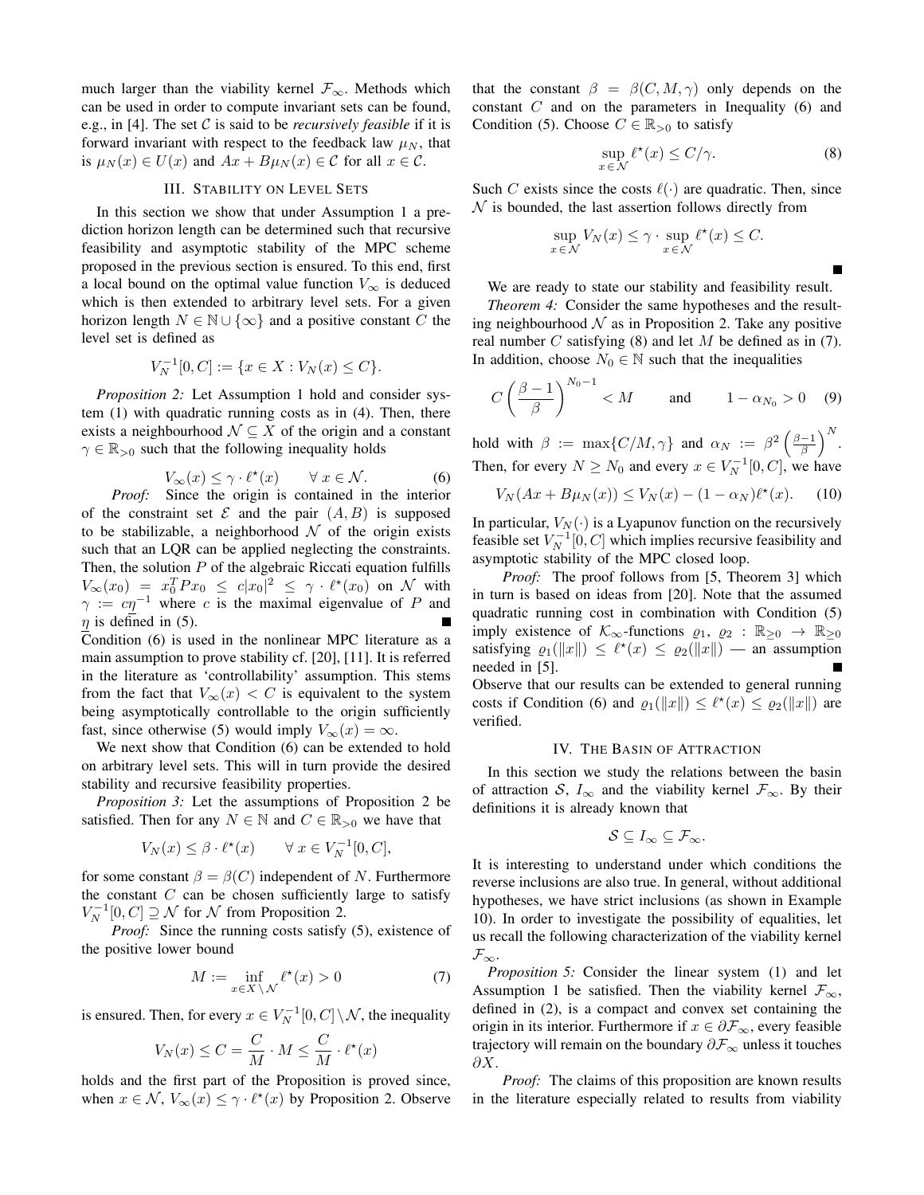much larger than the viability kernel  $\mathcal{F}_{\infty}$ . Methods which can be used in order to compute invariant sets can be found, e.g., in [4]. The set C is said to be *recursively feasible* if it is forward invariant with respect to the feedback law  $\mu_N$ , that is  $\mu_N(x) \in U(x)$  and  $Ax + B\mu_N(x) \in \mathcal{C}$  for all  $x \in \mathcal{C}$ .

## III. STABILITY ON LEVEL SETS

In this section we show that under Assumption 1 a prediction horizon length can be determined such that recursive feasibility and asymptotic stability of the MPC scheme proposed in the previous section is ensured. To this end, first a local bound on the optimal value function  $V_{\infty}$  is deduced which is then extended to arbitrary level sets. For a given horizon length  $N \in \mathbb{N} \cup \{\infty\}$  and a positive constant C the level set is defined as

$$
V_N^{-1}[0, C] := \{ x \in X : V_N(x) \le C \}.
$$

*Proposition 2:* Let Assumption 1 hold and consider system (1) with quadratic running costs as in (4). Then, there exists a neighbourhood  $\mathcal{N} \subseteq X$  of the origin and a constant  $\gamma \in \mathbb{R}_{>0}$  such that the following inequality holds

$$
V_{\infty}(x) \le \gamma \cdot \ell^{\star}(x) \qquad \forall \ x \in \mathcal{N}.
$$
 (6)

*Proof:* Since the origin is contained in the interior of the constraint set  $\mathcal E$  and the pair  $(A, B)$  is supposed to be stabilizable, a neighborhood  $N$  of the origin exists such that an LQR can be applied neglecting the constraints. Then, the solution  $P$  of the algebraic Riccati equation fulfills  $V_{\infty}(x_0) = x_0^T P x_0 \leq c |x_0|^2 \leq \gamma \cdot \ell^{\star}(x_0)$  on  $\mathcal N$  with  $\gamma := c\eta^{-1}$  where c is the maximal eigenvalue of P and  $\eta$  is defined in (5).

Condition (6) is used in the nonlinear MPC literature as a main assumption to prove stability cf. [20], [11]. It is referred in the literature as 'controllability' assumption. This stems from the fact that  $V_{\infty}(x) < C$  is equivalent to the system being asymptotically controllable to the origin sufficiently fast, since otherwise (5) would imply  $V_{\infty}(x) = \infty$ .

We next show that Condition (6) can be extended to hold on arbitrary level sets. This will in turn provide the desired stability and recursive feasibility properties.

*Proposition 3:* Let the assumptions of Proposition 2 be satisfied. Then for any  $N \in \mathbb{N}$  and  $C \in \mathbb{R}_{>0}$  we have that

$$
V_N(x) \le \beta \cdot \ell^{\star}(x) \qquad \forall \ x \in V_N^{-1}[0, C],
$$

for some constant  $\beta = \beta(C)$  independent of N. Furthermore the constant  $C$  can be chosen sufficiently large to satisfy  $V_N^{-1}[0, C] \supseteq \mathcal{N}$  for  $\mathcal{N}$  from Proposition 2.

*Proof:* Since the running costs satisfy (5), existence of the positive lower bound

$$
M := \inf_{x \in X \setminus \mathcal{N}} \ell^*(x) > 0 \tag{7}
$$

is ensured. Then, for every  $x \in V_N^{-1}[0, C] \setminus \mathcal{N}$ , the inequality

$$
V_N(x) \le C = \frac{C}{M} \cdot M \le \frac{C}{M} \cdot \ell^*(x)
$$

holds and the first part of the Proposition is proved since, when  $x \in \mathcal{N}$ ,  $V_{\infty}(x) \leq \gamma \cdot \ell^*(x)$  by Proposition 2. Observe

that the constant  $\beta = \beta(C, M, \gamma)$  only depends on the constant C and on the parameters in Inequality (6) and Condition (5). Choose  $C \in \mathbb{R}_{>0}$  to satisfy

$$
\sup_{x \in \mathcal{N}} \ell^{\star}(x) \le C/\gamma.
$$
 (8)

П

Such C exists since the costs  $\ell(\cdot)$  are quadratic. Then, since  $\mathcal N$  is bounded, the last assertion follows directly from

$$
\sup_{x \in \mathcal{N}} V_N(x) \le \gamma \cdot \sup_{x \in \mathcal{N}} \ell^*(x) \le C.
$$

We are ready to state our stability and feasibility result.

*Theorem 4:* Consider the same hypotheses and the resulting neighbourhood  $N$  as in Proposition 2. Take any positive real number  $C$  satisfying (8) and let  $M$  be defined as in (7). In addition, choose  $N_0 \in \mathbb{N}$  such that the inequalities

$$
C\left(\frac{\beta-1}{\beta}\right)^{N_0-1} < M \qquad \text{and} \qquad 1 - \alpha_{N_0} > 0 \quad (9)
$$

hold with  $\beta := \max\{C/M, \gamma\}$  and  $\alpha_N := \beta^2 \left(\frac{\beta - 1}{\beta}\right)^N$ . Then, for every  $N \ge N_0$  and every  $x \in V_N^{-1}[0, C]$ , we have

$$
V_N(Ax + B\mu_N(x)) \le V_N(x) - (1 - \alpha_N)\ell^*(x). \tag{10}
$$

In particular,  $V_N(\cdot)$  is a Lyapunov function on the recursively feasible set  $V_N^{-1}[0, C]$  which implies recursive feasibility and asymptotic stability of the MPC closed loop.

*Proof:* The proof follows from [5, Theorem 3] which in turn is based on ideas from [20]. Note that the assumed quadratic running cost in combination with Condition (5) imply existence of  $\mathcal{K}_{\infty}$ -functions  $\varrho_1, \varrho_2 : \mathbb{R}_{\geq 0} \to \mathbb{R}_{\geq 0}$ satisfying  $\rho_1(\|x\|) \leq \ell^*(x) \leq \rho_2(\|x\|)$  — an assumption needed in [5]. Observe that our results can be extended to general running

costs if Condition (6) and  $\varrho_1(\Vert x \Vert) \leq \ell^*(x) \leq \varrho_2(\Vert x \Vert)$  are verified.

#### IV. THE BASIN OF ATTRACTION

In this section we study the relations between the basin of attraction S,  $I_{\infty}$  and the viability kernel  $\mathcal{F}_{\infty}$ . By their definitions it is already known that

$$
\mathcal{S} \subseteq I_{\infty} \subseteq \mathcal{F}_{\infty}.
$$

It is interesting to understand under which conditions the reverse inclusions are also true. In general, without additional hypotheses, we have strict inclusions (as shown in Example 10). In order to investigate the possibility of equalities, let us recall the following characterization of the viability kernel  $\mathcal{F}_{\infty}$ .

*Proposition 5:* Consider the linear system (1) and let Assumption 1 be satisfied. Then the viability kernel  $\mathcal{F}_{\infty}$ , defined in (2), is a compact and convex set containing the origin in its interior. Furthermore if  $x \in \partial \mathcal{F}_{\infty}$ , every feasible trajectory will remain on the boundary  $\partial \mathcal{F}_{\infty}$  unless it touches  $\partial X.$ 

*Proof:* The claims of this proposition are known results in the literature especially related to results from viability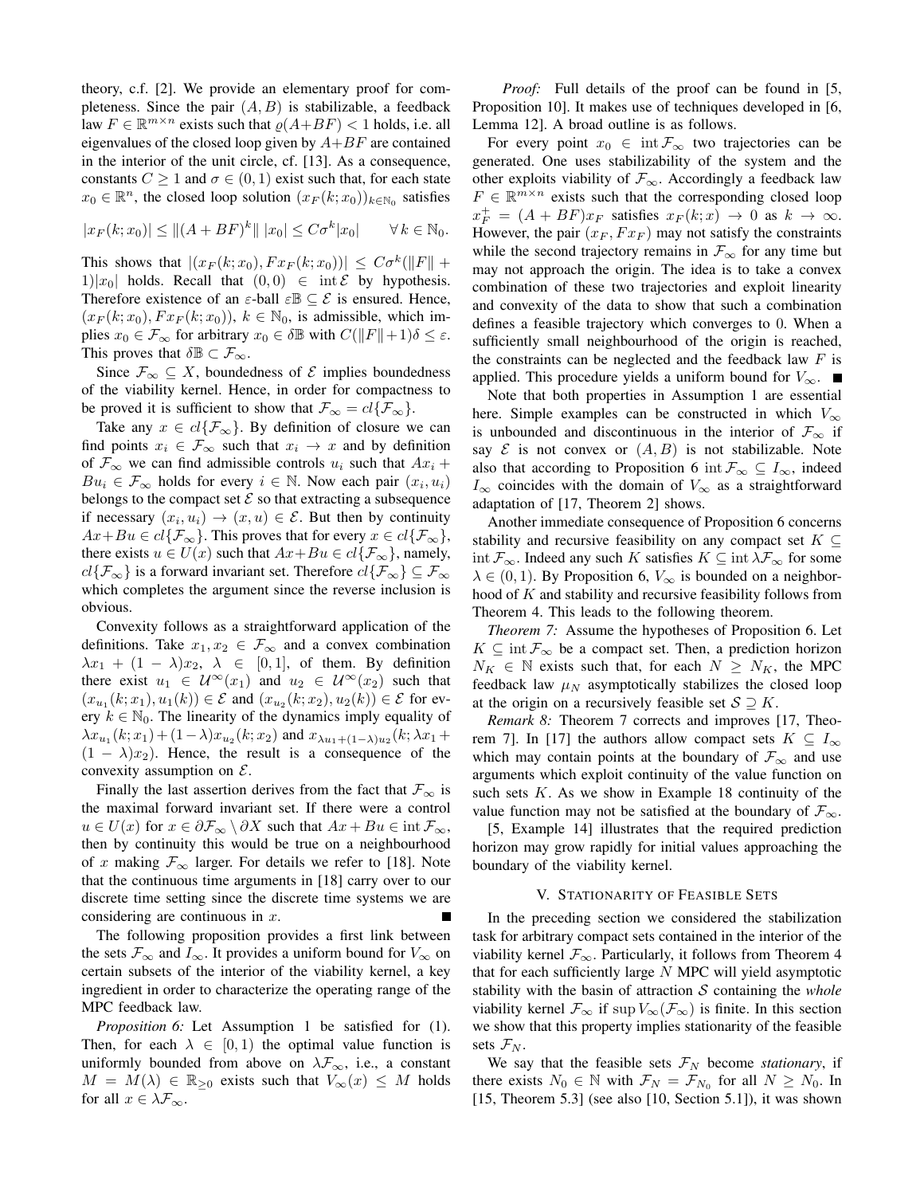theory, c.f. [2]. We provide an elementary proof for completeness. Since the pair  $(A, B)$  is stabilizable, a feedback law  $F \in \mathbb{R}^{m \times n}$  exists such that  $\rho(A+BF) < 1$  holds, i.e. all eigenvalues of the closed loop given by  $A+BF$  are contained in the interior of the unit circle, cf. [13]. As a consequence, constants  $C \geq 1$  and  $\sigma \in (0, 1)$  exist such that, for each state  $x_0 \in \mathbb{R}^n$ , the closed loop solution  $(x_F(k; x_0))_{k \in \mathbb{N}_0}$  satisfies

$$
|x_F(k; x_0)| \le ||(A + BF)^k|| |x_0| \le C\sigma^k |x_0| \quad \forall k \in \mathbb{N}_0.
$$

This shows that  $|(x_F(k; x_0), F x_F(k; x_0))| \leq C \sigma^k (||F|| +$ 1)| $x_0$ | holds. Recall that  $(0, 0) \in \text{int } \mathcal{E}$  by hypothesis. Therefore existence of an  $\varepsilon$ -ball  $\varepsilon \mathbb{B} \subseteq \mathcal{E}$  is ensured. Hence,  $(x_F(k; x_0), F x_F(k; x_0))$ ,  $k \in \mathbb{N}_0$ , is admissible, which implies  $x_0 \in \mathcal{F}_{\infty}$  for arbitrary  $x_0 \in \delta \mathbb{B}$  with  $C(\Vert F \Vert + 1)\delta \leq \varepsilon$ . This proves that  $\delta \mathbb{B} \subset \mathcal{F}_{\infty}$ .

Since  $\mathcal{F}_{\infty} \subseteq X$ , boundedness of  $\mathcal{E}$  implies boundedness of the viability kernel. Hence, in order for compactness to be proved it is sufficient to show that  $\mathcal{F}_{\infty} = cl\{\mathcal{F}_{\infty}\}.$ 

Take any  $x \in cl\{\mathcal{F}_{\infty}\}\)$ . By definition of closure we can find points  $x_i \in \mathcal{F}_{\infty}$  such that  $x_i \to x$  and by definition of  $\mathcal{F}_{\infty}$  we can find admissible controls  $u_i$  such that  $Ax_i +$  $Bu_i \in \mathcal{F}_{\infty}$  holds for every  $i \in \mathbb{N}$ . Now each pair  $(x_i, u_i)$ belongs to the compact set  $\mathcal E$  so that extracting a subsequence if necessary  $(x_i, u_i) \rightarrow (x, u) \in \mathcal{E}$ . But then by continuity  $Ax+Bu \in cl\{\mathcal{F}_{\infty}\}.$  This proves that for every  $x \in cl\{\mathcal{F}_{\infty}\},$ there exists  $u \in U(x)$  such that  $Ax + Bu \in cl\{\mathcal{F}_{\infty}\}\)$ , namely,  $cl{\mathcal{F}_{\infty}}$  is a forward invariant set. Therefore  $cl{\mathcal{F}_{\infty}} \subseteq \mathcal{F}_{\infty}$ which completes the argument since the reverse inclusion is obvious.

Convexity follows as a straightforward application of the definitions. Take  $x_1, x_2 \in \mathcal{F}_{\infty}$  and a convex combination  $\lambda x_1 + (1 - \lambda)x_2, \lambda \in [0,1]$ , of them. By definition there exist  $u_1 \in \mathcal{U}^{\infty}(x_1)$  and  $u_2 \in \mathcal{U}^{\infty}(x_2)$  such that  $(x_{u_1}(k; x_1), u_1(k)) \in \mathcal{E}$  and  $(x_{u_2}(k; x_2), u_2(k)) \in \mathcal{E}$  for every  $k \in \mathbb{N}_0$ . The linearity of the dynamics imply equality of  $\lambda x_{u_1}(k; x_1) + (1 - \lambda)x_{u_2}(k; x_2)$  and  $x_{\lambda u_1 + (1 - \lambda)u_2}(k; \lambda x_1 +$  $(1 - \lambda)x_2$ ). Hence, the result is a consequence of the convexity assumption on  $\mathcal{E}$ .

Finally the last assertion derives from the fact that  $\mathcal{F}_{\infty}$  is the maximal forward invariant set. If there were a control  $u \in U(x)$  for  $x \in \partial \mathcal{F}_{\infty} \setminus \partial X$  such that  $Ax + Bu \in \text{int } \mathcal{F}_{\infty}$ , then by continuity this would be true on a neighbourhood of x making  $\mathcal{F}_{\infty}$  larger. For details we refer to [18]. Note that the continuous time arguments in [18] carry over to our discrete time setting since the discrete time systems we are considering are continuous in x.

The following proposition provides a first link between the sets  $\mathcal{F}_{\infty}$  and  $I_{\infty}$ . It provides a uniform bound for  $V_{\infty}$  on certain subsets of the interior of the viability kernel, a key ingredient in order to characterize the operating range of the MPC feedback law.

*Proposition 6:* Let Assumption 1 be satisfied for (1). Then, for each  $\lambda \in [0, 1)$  the optimal value function is uniformly bounded from above on  $\lambda \mathcal{F}_{\infty}$ , i.e., a constant  $M = M(\lambda) \in \mathbb{R}_{\geq 0}$  exists such that  $V_{\infty}(x) \leq M$  holds for all  $x \in \lambda \mathcal{F}_{\infty}$ .

*Proof:* Full details of the proof can be found in [5, Proposition 10]. It makes use of techniques developed in [6, Lemma 12]. A broad outline is as follows.

For every point  $x_0 \in \text{int } \mathcal{F}_{\infty}$  two trajectories can be generated. One uses stabilizability of the system and the other exploits viability of  $\mathcal{F}_{\infty}$ . Accordingly a feedback law  $F \in \mathbb{R}^{m \times n}$  exists such that the corresponding closed loop  $x_F^+ = (A + BF)x_F$  satisfies  $x_F(k; x) \rightarrow 0$  as  $k \rightarrow \infty$ . However, the pair  $(x_F, F x_F)$  may not satisfy the constraints while the second trajectory remains in  $\mathcal{F}_{\infty}$  for any time but may not approach the origin. The idea is to take a convex combination of these two trajectories and exploit linearity and convexity of the data to show that such a combination defines a feasible trajectory which converges to 0. When a sufficiently small neighbourhood of the origin is reached, the constraints can be neglected and the feedback law  $F$  is applied. This procedure yields a uniform bound for  $V_{\infty}$ . ■

Note that both properties in Assumption 1 are essential here. Simple examples can be constructed in which  $V_{\infty}$ is unbounded and discontinuous in the interior of  $\mathcal{F}_{\infty}$  if say  $\mathcal E$  is not convex or  $(A, B)$  is not stabilizable. Note also that according to Proposition 6 int  $\mathcal{F}_{\infty} \subseteq I_{\infty}$ , indeed  $I_{\infty}$  coincides with the domain of  $V_{\infty}$  as a straightforward adaptation of [17, Theorem 2] shows.

Another immediate consequence of Proposition 6 concerns stability and recursive feasibility on any compact set  $K \subseteq$ int  $\mathcal{F}_{\infty}$ . Indeed any such K satisfies  $K \subseteq \text{int } \lambda \mathcal{F}_{\infty}$  for some  $\lambda \in (0, 1)$ . By Proposition 6,  $V_{\infty}$  is bounded on a neighborhood of K and stability and recursive feasibility follows from Theorem 4. This leads to the following theorem.

*Theorem 7:* Assume the hypotheses of Proposition 6. Let  $K \subseteq \text{int } \mathcal{F}_{\infty}$  be a compact set. Then, a prediction horizon  $N_K \in \mathbb{N}$  exists such that, for each  $N \geq N_K$ , the MPC feedback law  $\mu_N$  asymptotically stabilizes the closed loop at the origin on a recursively feasible set  $S \supseteq K$ .

*Remark 8:* Theorem 7 corrects and improves [17, Theorem 7]. In [17] the authors allow compact sets  $K \subseteq I_{\infty}$ which may contain points at the boundary of  $\mathcal{F}_{\infty}$  and use arguments which exploit continuity of the value function on such sets  $K$ . As we show in Example 18 continuity of the value function may not be satisfied at the boundary of  $\mathcal{F}_{\infty}$ .

[5, Example 14] illustrates that the required prediction horizon may grow rapidly for initial values approaching the boundary of the viability kernel.

## V. STATIONARITY OF FEASIBLE SETS

In the preceding section we considered the stabilization task for arbitrary compact sets contained in the interior of the viability kernel  $\mathcal{F}_{\infty}$ . Particularly, it follows from Theorem 4 that for each sufficiently large  $N$  MPC will yield asymptotic stability with the basin of attraction  $S$  containing the *whole* viability kernel  $\mathcal{F}_{\infty}$  if sup  $V_{\infty}(\mathcal{F}_{\infty})$  is finite. In this section we show that this property implies stationarity of the feasible sets  $\mathcal{F}_N$ .

We say that the feasible sets  $\mathcal{F}_N$  become *stationary*, if there exists  $N_0 \in \mathbb{N}$  with  $\mathcal{F}_N = \mathcal{F}_{N_0}$  for all  $N \ge N_0$ . In  $[15, Theorem 5.3]$  (see also  $[10, Section 5.1]$ ), it was shown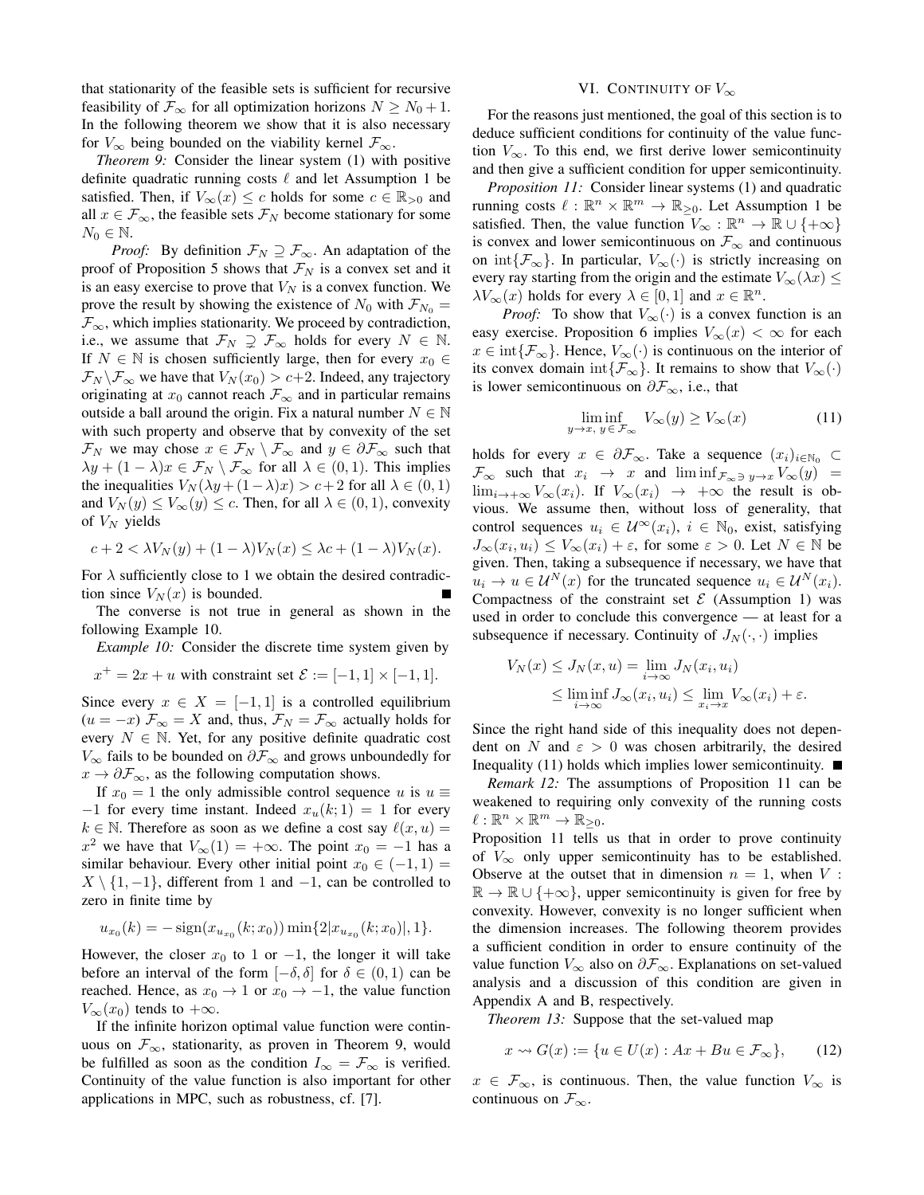that stationarity of the feasible sets is sufficient for recursive feasibility of  $\mathcal{F}_{\infty}$  for all optimization horizons  $N \geq N_0 + 1$ . In the following theorem we show that it is also necessary for  $V_{\infty}$  being bounded on the viability kernel  $\mathcal{F}_{\infty}$ .

*Theorem 9:* Consider the linear system (1) with positive definite quadratic running costs  $\ell$  and let Assumption 1 be satisfied. Then, if  $V_{\infty}(x) \leq c$  holds for some  $c \in \mathbb{R}_{>0}$  and all  $x \in \mathcal{F}_{\infty}$ , the feasible sets  $\mathcal{F}_N$  become stationary for some  $N_0 \in \mathbb{N}$ .

*Proof:* By definition  $\mathcal{F}_N \supseteq \mathcal{F}_{\infty}$ . An adaptation of the proof of Proposition 5 shows that  $\mathcal{F}_N$  is a convex set and it is an easy exercise to prove that  $V_N$  is a convex function. We prove the result by showing the existence of  $N_0$  with  $\mathcal{F}_{N_0} =$  $\mathcal{F}_{\infty}$ , which implies stationarity. We proceed by contradiction, i.e., we assume that  $\mathcal{F}_N \supsetneq \mathcal{F}_{\infty}$  holds for every  $N \in \mathbb{N}$ . If  $N \in \mathbb{N}$  is chosen sufficiently large, then for every  $x_0 \in$  $\mathcal{F}_N \backslash \mathcal{F}_\infty$  we have that  $V_N(x_0) > c+2$ . Indeed, any trajectory originating at  $x_0$  cannot reach  $\mathcal{F}_{\infty}$  and in particular remains outside a ball around the origin. Fix a natural number  $N \in \mathbb{N}$ with such property and observe that by convexity of the set  $\mathcal{F}_N$  we may chose  $x \in \mathcal{F}_N \setminus \mathcal{F}_{\infty}$  and  $y \in \partial \mathcal{F}_{\infty}$  such that  $\lambda y + (1 - \lambda)x \in \mathcal{F}_N \setminus \mathcal{F}_{\infty}$  for all  $\lambda \in (0, 1)$ . This implies the inequalities  $V_N(\lambda y + (1 - \lambda)x) > c + 2$  for all  $\lambda \in (0, 1)$ and  $V_N(y) \leq V_\infty(y) \leq c$ . Then, for all  $\lambda \in (0, 1)$ , convexity of  $V_N$  yields

$$
c + 2 < \lambda V_N(y) + (1 - \lambda)V_N(x) \leq \lambda c + (1 - \lambda)V_N(x).
$$

For  $\lambda$  sufficiently close to 1 we obtain the desired contradiction since  $V_N(x)$  is bounded.

The converse is not true in general as shown in the following Example 10.

*Example 10:* Consider the discrete time system given by

$$
x^+ = 2x + u
$$
 with constraint set  $\mathcal{E} := [-1, 1] \times [-1, 1]$ .

Since every  $x \in X = [-1, 1]$  is a controlled equilibrium  $(u = -x)$   $\mathcal{F}_{\infty} = X$  and, thus,  $\mathcal{F}_{N} = \mathcal{F}_{\infty}$  actually holds for every  $N \in \mathbb{N}$ . Yet, for any positive definite quadratic cost  $V_{\infty}$  fails to be bounded on  $\partial \mathcal{F}_{\infty}$  and grows unboundedly for  $x \to \partial \mathcal{F}_{\infty}$ , as the following computation shows.

If  $x_0 = 1$  the only admissible control sequence u is  $u \equiv$  $-1$  for every time instant. Indeed  $x_u(k; 1) = 1$  for every  $k \in \mathbb{N}$ . Therefore as soon as we define a cost say  $\ell(x, u) =$  $x^2$  we have that  $V_{\infty}(1) = +\infty$ . The point  $x_0 = -1$  has a similar behaviour. Every other initial point  $x_0 \in (-1, 1)$  $X \setminus \{1, -1\}$ , different from 1 and  $-1$ , can be controlled to zero in finite time by

$$
u_{x_0}(k) = -\operatorname{sign}(x_{u_{x_0}}(k; x_0)) \min\{2|x_{u_{x_0}}(k; x_0)|, 1\}.
$$

However, the closer  $x_0$  to 1 or  $-1$ , the longer it will take before an interval of the form  $[-\delta, \delta]$  for  $\delta \in (0, 1)$  can be reached. Hence, as  $x_0 \to 1$  or  $x_0 \to -1$ , the value function  $V_{\infty}(x_0)$  tends to  $+\infty$ .

If the infinite horizon optimal value function were continuous on  $\mathcal{F}_{\infty}$ , stationarity, as proven in Theorem 9, would be fulfilled as soon as the condition  $I_{\infty} = \mathcal{F}_{\infty}$  is verified. Continuity of the value function is also important for other applications in MPC, such as robustness, cf. [7].

# VI. CONTINUITY OF  $V_{\infty}$

For the reasons just mentioned, the goal of this section is to deduce sufficient conditions for continuity of the value function  $V_{\infty}$ . To this end, we first derive lower semicontinuity and then give a sufficient condition for upper semicontinuity.

*Proposition 11:* Consider linear systems (1) and quadratic running costs  $\ell : \mathbb{R}^n \times \mathbb{R}^m \to \mathbb{R}_{\geq 0}$ . Let Assumption 1 be satisfied. Then, the value function  $V_{\infty}: \mathbb{R}^n \to \mathbb{R} \cup \{+\infty\}$ is convex and lower semicontinuous on  $\mathcal{F}_{\infty}$  and continuous on int $\{\mathcal{F}_{\infty}\}\$ . In particular,  $V_{\infty}(\cdot)$  is strictly increasing on every ray starting from the origin and the estimate  $V_{\infty}(\lambda x) \leq$  $\lambda V_{\infty}(x)$  holds for every  $\lambda \in [0,1]$  and  $x \in \mathbb{R}^n$ .

*Proof:* To show that  $V_{\infty}(\cdot)$  is a convex function is an easy exercise. Proposition 6 implies  $V_\infty(x) < \infty$  for each  $x \in \text{int}\{\mathcal{F}_{\infty}\}.$  Hence,  $V_{\infty}(\cdot)$  is continuous on the interior of its convex domain int $\{\mathcal{F}_{\infty}\}\)$ . It remains to show that  $V_{\infty}(\cdot)$ is lower semicontinuous on  $\partial \mathcal{F}_{\infty}$ , i.e., that

$$
\liminf_{y \to x, y \in \mathcal{F}_{\infty}} V_{\infty}(y) \ge V_{\infty}(x)
$$
\n(11)

holds for every  $x \in \partial \mathcal{F}_{\infty}$ . Take a sequence  $(x_i)_{i \in \mathbb{N}_0}$  $\mathcal{F}_{\infty}$  such that  $x_i \rightarrow x$  and  $\liminf_{\mathcal{F}_{\infty}\ni y\rightarrow x}V_{\infty}(y)$  $\lim_{i\to+\infty}V_{\infty}(x_i)$ . If  $V_{\infty}(x_i) \to +\infty$  the result is obvious. We assume then, without loss of generality, that control sequences  $u_i \in \mathcal{U}^{\infty}(x_i)$ ,  $i \in \mathbb{N}_0$ , exist, satisfying  $J_{\infty}(x_i, u_i) \leq V_{\infty}(x_i) + \varepsilon$ , for some  $\varepsilon > 0$ . Let  $N \in \mathbb{N}$  be given. Then, taking a subsequence if necessary, we have that  $u_i \to u \in \mathcal{U}^N(x)$  for the truncated sequence  $u_i \in \mathcal{U}^N(x_i)$ . Compactness of the constraint set  $\mathcal E$  (Assumption 1) was used in order to conclude this convergence — at least for a subsequence if necessary. Continuity of  $J_N(\cdot, \cdot)$  implies

$$
V_N(x) \leq J_N(x, u) = \lim_{i \to \infty} J_N(x_i, u_i)
$$
  
\n
$$
\leq \liminf_{i \to \infty} J_\infty(x_i, u_i) \leq \lim_{x_i \to x} V_\infty(x_i) + \varepsilon.
$$

Since the right hand side of this inequality does not dependent on N and  $\varepsilon > 0$  was chosen arbitrarily, the desired Inequality (11) holds which implies lower semicontinuity.  $\blacksquare$ 

*Remark 12:* The assumptions of Proposition 11 can be weakened to requiring only convexity of the running costs  $\ell : \mathbb{R}^n \times \mathbb{R}^m \to \mathbb{R}_{\geq 0}.$ 

Proposition 11 tells us that in order to prove continuity of  $V_{\infty}$  only upper semicontinuity has to be established. Observe at the outset that in dimension  $n = 1$ , when V:  $\mathbb{R} \to \mathbb{R} \cup \{+\infty\}$ , upper semicontinuity is given for free by convexity. However, convexity is no longer sufficient when the dimension increases. The following theorem provides a sufficient condition in order to ensure continuity of the value function  $V_{\infty}$  also on  $\partial \mathcal{F}_{\infty}$ . Explanations on set-valued analysis and a discussion of this condition are given in Appendix A and B, respectively.

*Theorem 13:* Suppose that the set-valued map

$$
x \rightsquigarrow G(x) := \{ u \in U(x) : Ax + Bu \in \mathcal{F}_{\infty} \},
$$
 (12)

 $x \in \mathcal{F}_{\infty}$ , is continuous. Then, the value function  $V_{\infty}$  is continuous on  $\mathcal{F}_{\infty}$ .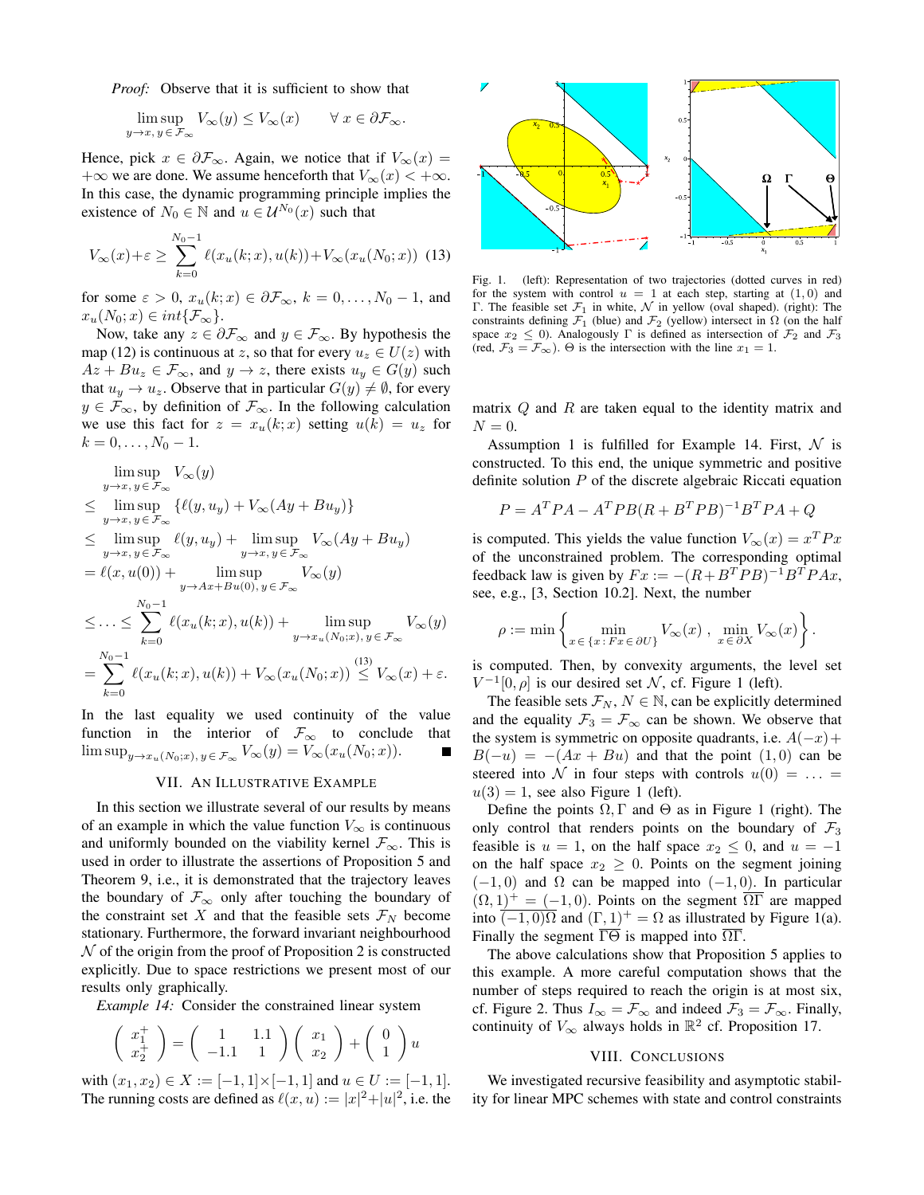*Proof:* Observe that it is sufficient to show that

$$
\limsup_{y \to x, y \in \mathcal{F}_{\infty}} V_{\infty}(y) \leq V_{\infty}(x) \qquad \forall x \in \partial \mathcal{F}_{\infty}.
$$

Hence, pick  $x \in \partial \mathcal{F}_{\infty}$ . Again, we notice that if  $V_{\infty}(x) =$  $+\infty$  we are done. We assume henceforth that  $V_{\infty}(x) < +\infty$ . In this case, the dynamic programming principle implies the existence of  $N_0 \in \mathbb{N}$  and  $u \in \mathcal{U}^{N_0}(x)$  such that

$$
V_{\infty}(x) + \varepsilon \ge \sum_{k=0}^{N_0 - 1} \ell(x_u(k; x), u(k)) + V_{\infty}(x_u(N_0; x))
$$
 (13)

for some  $\varepsilon > 0$ ,  $x_u(k; x) \in \partial \mathcal{F}_{\infty}$ ,  $k = 0, ..., N_0 - 1$ , and  $x_u(N_0; x) \in int\{\mathcal{F}_{\infty}\}.$ 

Now, take any  $z \in \partial \mathcal{F}_{\infty}$  and  $y \in \mathcal{F}_{\infty}$ . By hypothesis the map (12) is continuous at z, so that for every  $u_z \in U(z)$  with  $Az + Bu_z \in \mathcal{F}_{\infty}$ , and  $y \to z$ , there exists  $u_y \in G(y)$  such that  $u_y \to u_z$ . Observe that in particular  $G(y) \neq \emptyset$ , for every  $y \in \mathcal{F}_{\infty}$ , by definition of  $\mathcal{F}_{\infty}$ . In the following calculation we use this fact for  $z = x_u(k; x)$  setting  $u(k) = u_z$  for  $k = 0, \ldots, N_0 - 1.$ 

lim sup  $\limsup_{y\to x, y\in \mathcal{F}_{\infty}} V_{\infty}(y)$  $\leq$  lim sup  $\{ \ell(y, u_y) + V_\infty(Ay + Bu_y) \}$  $y\rightarrow x, y\in \mathcal{F}_{\infty}$  $\leq$  lim sup  $\ell(y, u_y)$  + lim sup  $V_{\infty}(Ay + Bu_y)$  $y{\rightarrow}x$  ,  $y{\in}{\mathcal F}_\infty$  $y\rightarrow x, y\in \mathcal{F}_{\infty}$  $= \ell(x, u(0)) +$  $\limsup_{y \to Ax + Bu(0), y \in \mathcal{F}_{\infty}} V_{\infty}(y)$  $\leq$  . . .  $\leq$  $\sum_{n=1}^{N_0-1}$  $k=0$  $\ell(x_u(k; x), u(k)) + \limsup_{y \to x_u(N_0; x), y \in \mathcal{F}_{\infty}} V_{\infty}(y)$ =  $\sum_{n=1}^{N_0-1}$  $\ell(x_u(k; x), u(k)) + V_\infty(x_u(N_0; x)) \overset{(13)}{\leq} V_\infty(x) + \varepsilon.$ 

In the last equality we used continuity of the value function in the interior of  $\mathcal{F}_{\infty}$  to conclude that  $\limsup_{y \to x_u(N_0; x), y \in \mathcal{F}_{\infty}} V_{\infty}(y) = V_{\infty}(x_u(N_0; x)).$ 

 $_{k=0}$ 

## VII. AN ILLUSTRATIVE EXAMPLE

In this section we illustrate several of our results by means of an example in which the value function  $V_{\infty}$  is continuous and uniformly bounded on the viability kernel  $\mathcal{F}_{\infty}$ . This is used in order to illustrate the assertions of Proposition 5 and Theorem 9, i.e., it is demonstrated that the trajectory leaves the boundary of  $\mathcal{F}_{\infty}$  only after touching the boundary of the constraint set X and that the feasible sets  $\mathcal{F}_N$  become stationary. Furthermore, the forward invariant neighbourhood  $\mathcal N$  of the origin from the proof of Proposition 2 is constructed explicitly. Due to space restrictions we present most of our results only graphically.

*Example 14:* Consider the constrained linear system

$$
\left(\begin{array}{c} x_1^+ \\ x_2^+ \end{array}\right) = \left(\begin{array}{cc} 1 & 1.1 \\ -1.1 & 1 \end{array}\right) \left(\begin{array}{c} x_1 \\ x_2 \end{array}\right) + \left(\begin{array}{c} 0 \\ 1 \end{array}\right) u
$$

with  $(x_1, x_2) \in X := [-1, 1] \times [-1, 1]$  and  $u \in U := [-1, 1]$ . The running costs are defined as  $\ell(x, u) := |x|^2 + |u|^2$ , i.e. the



Fig. 1. (left): Representation of two trajectories (dotted curves in red) for the system with control  $u = 1$  at each step, starting at  $(1, 0)$  and Γ. The feasible set  $\mathcal{F}_1$  in white,  $\mathcal N$  in yellow (oval shaped). (right): The constraints defining  $\mathcal{F}_1$  (blue) and  $\mathcal{F}_2$  (yellow) intersect in  $\Omega$  (on the half space  $x_2 \leq 0$ ). Analogously  $\Gamma$  is defined as intersection of  $\mathcal{F}_2$  and  $\mathcal{F}_3$ (red,  $\mathcal{F}_3 = \mathcal{F}_{\infty}$ ).  $\Theta$  is the intersection with the line  $x_1 = 1$ .

matrix  $Q$  and  $R$  are taken equal to the identity matrix and  $N = 0$ .

Assumption 1 is fulfilled for Example 14. First,  $\mathcal N$  is constructed. To this end, the unique symmetric and positive definite solution  $P$  of the discrete algebraic Riccati equation

$$
P = AT PA - AT PB(R + BT PB)-1BT PA + Q
$$

is computed. This yields the value function  $V_{\infty}(x) = x^T P x$ of the unconstrained problem. The corresponding optimal feedback law is given by  $Fx := -(R + B^T P B)^{-1}B^T P A x$ , see, e.g., [3, Section 10.2]. Next, the number

$$
\rho := \min \left\{ \min_{x \in \{x \colon Fx \in \partial U\}} V_{\infty}(x) , \min_{x \in \partial X} V_{\infty}(x) \right\}.
$$

is computed. Then, by convexity arguments, the level set  $V^{-1}[0, \rho]$  is our desired set N, cf. Figure 1 (left).

The feasible sets  $\mathcal{F}_N$ ,  $N \in \mathbb{N}$ , can be explicitly determined and the equality  $\mathcal{F}_3 = \mathcal{F}_{\infty}$  can be shown. We observe that the system is symmetric on opposite quadrants, i.e.  $A(-x)$  +  $B(-u) = -(Ax + Bu)$  and that the point  $(1,0)$  can be steered into N in four steps with controls  $u(0) = \ldots =$  $u(3) = 1$ , see also Figure 1 (left).

Define the points  $\Omega$ , Γ and  $\Theta$  as in Figure 1 (right). The only control that renders points on the boundary of  $\mathcal{F}_3$ feasible is  $u = 1$ , on the half space  $x_2 \leq 0$ , and  $u = -1$ on the half space  $x_2 \geq 0$ . Points on the segment joining  $(-1, 0)$  and  $\Omega$  can be mapped into  $(-1, 0)$ . In particular  $(\Omega, 1)^+ = (-1, 0)$ . Points on the segment  $\overline{\Omega}$  are mapped into  $\overline{(-1,0)\Omega}$  and  $(\Gamma,1)^+ = \Omega$  as illustrated by Figure 1(a). Finally the segment  $\overline{\Gamma\Theta}$  is mapped into  $\overline{\Omega\Gamma}$ .

The above calculations show that Proposition 5 applies to this example. A more careful computation shows that the number of steps required to reach the origin is at most six, cf. Figure 2. Thus  $I_{\infty} = \mathcal{F}_{\infty}$  and indeed  $\mathcal{F}_3 = \mathcal{F}_{\infty}$ . Finally, continuity of  $V_{\infty}$  always holds in  $\mathbb{R}^2$  cf. Proposition 17.

## VIII. CONCLUSIONS

We investigated recursive feasibility and asymptotic stability for linear MPC schemes with state and control constraints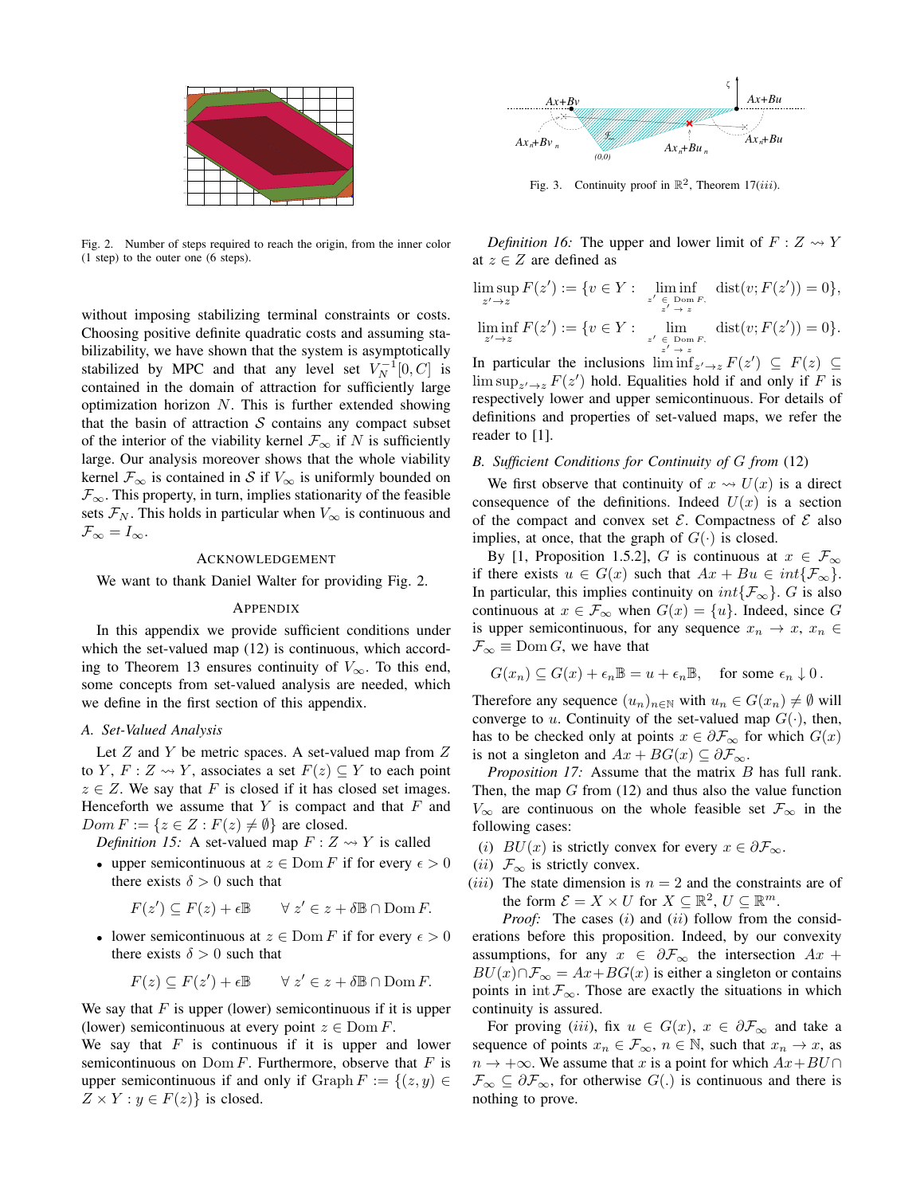

Fig. 2. Number of steps required to reach the origin, from the inner color (1 step) to the outer one (6 steps).

without imposing stabilizing terminal constraints or costs. Choosing positive definite quadratic costs and assuming stabilizability, we have shown that the system is asymptotically stabilized by MPC and that any level set  $V_N^{-1}[0, C]$  is contained in the domain of attraction for sufficiently large optimization horizon  $N$ . This is further extended showing that the basin of attraction  $S$  contains any compact subset of the interior of the viability kernel  $\mathcal{F}_{\infty}$  if N is sufficiently large. Our analysis moreover shows that the whole viability kernel  $\mathcal{F}_{\infty}$  is contained in S if  $V_{\infty}$  is uniformly bounded on  $\mathcal{F}_{\infty}$ . This property, in turn, implies stationarity of the feasible sets  $\mathcal{F}_N$ . This holds in particular when  $V_{\infty}$  is continuous and  $\mathcal{F}_{\infty} = I_{\infty}.$  $x_1 = p$ , where  $x_1 = p$ , where  $x_2 = p$ , where  $x_3 = p$  and  $x_4 = p$ , where  $x_4 = p$ ,  $x_5 = p$ ,  $x_6 = p$ ,  $x_7 = p$ ,  $x_8 = p$ ,  $x_7 = p$ ,  $x_8 = p$ ,  $x_9 = p$ ,  $x_9 = p$ ,  $x_9 = p$ ,  $x_9 = p$ ,  $x_9 = p$ ,  $x_9 = p$ ,  $x_9 = p$ ,  $x_9 = p$ ,  $x_9 = p$ ,  $x_$ 

## ACKNOWLEDGEMENT

We want to thank Daniel Walter for providing Fig. 2.

#### APPENDIX

In this appendix we provide sufficient conditions under which the set-valued map (12) is continuous, which according to Theorem 13 ensures continuity of  $V_{\infty}$ . To this end, some concepts from set-valued analysis are needed, which we define in the first section of this appendix.

#### *A. Set-Valued Analysis*

Let  $Z$  and  $Y$  be metric spaces. A set-valued map from  $Z$ to Y,  $F: Z \rightsquigarrow Y$ , associates a set  $F(z) \subseteq Y$  to each point  $z \in Z$ . We say that F is closed if it has closed set images. Henceforth we assume that  $Y$  is compact and that  $F$  and  $Dom F := \{z \in Z : F(z) \neq \emptyset\}$  are closed.

*Definition 15:* A set-valued map  $F : Z \rightarrow Y$  is called

• upper semicontinuous at  $z \in \text{Dom } F$  if for every  $\epsilon > 0$ there exists  $\delta > 0$  such that

$$
F(z') \subseteq F(z) + \epsilon \mathbb{B} \qquad \forall z' \in z + \delta \mathbb{B} \cap \text{Dom } F.
$$

• lower semicontinuous at  $z \in \text{Dom } F$  if for every  $\epsilon > 0$ there exists  $\delta > 0$  such that

$$
F(z) \subseteq F(z') + \epsilon \mathbb{B} \qquad \forall z' \in z + \delta \mathbb{B} \cap \text{Dom } F.
$$

We say that  $F$  is upper (lower) semicontinuous if it is upper (lower) semicontinuous at every point  $z \in \text{Dom } F$ .

We say that  $F$  is continuous if it is upper and lower semicontinuous on  $Dom F$ . Furthermore, observe that  $F$  is upper semicontinuous if and only if Graph  $F := \{(z, y) \in$ 



Fig. 3. Continuity proof in  $\mathbb{R}^2$ , Theorem 17(*iii*).

*Definition 16:* The upper and lower limit of  $F : Z \rightarrow Y$ at  $z \in Z$  are defined as

$$
\limsup_{z' \to z} F(z') := \{ v \in Y : \liminf_{z' \to z} \text{dist}(v; F(z')) = 0 \},
$$
  

$$
\liminf_{z' \to z} F(z') := \{ v \in Y : \lim_{z' \to z} \text{dist}(v; F(z')) = 0 \}.
$$

In particular the inclusions  $\liminf_{z' \to z} F(z') \subseteq F(z) \subseteq$  $\limsup_{z' \to z} F(z')$  hold. Equalities hold if and only if F is respectively lower and upper semicontinuous. For details of definitions and properties of set-valued maps, we refer the reader to [1].

#### *B. Sufficient Conditions for Continuity of* G *from* (12)

We first observe that continuity of  $x \leftrightarrow U(x)$  is a direct consequence of the definitions. Indeed  $U(x)$  is a section of the compact and convex set  $\mathcal{E}$ . Compactness of  $\mathcal{E}$  also implies, at once, that the graph of  $G(\cdot)$  is closed.

By [1, Proposition 1.5.2], G is continuous at  $x \in \mathcal{F}_{\infty}$ if there exists  $u \in G(x)$  such that  $Ax + Bu \in int\{\mathcal{F}_{\infty}\}.$ In particular, this implies continuity on  $int\{\mathcal{F}_{\infty}\}\)$ . G is also continuous at  $x \in \mathcal{F}_{\infty}$  when  $G(x) = \{u\}$ . Indeed, since G is upper semicontinuous, for any sequence  $x_n \to x$ ,  $x_n \in$  $\mathcal{F}_{\infty} \equiv \text{Dom } G$ , we have that

$$
G(x_n) \subseteq G(x) + \epsilon_n \mathbb{B} = u + \epsilon_n \mathbb{B}, \quad \text{for some } \epsilon_n \downarrow 0.
$$

Therefore any sequence  $(u_n)_{n\in\mathbb{N}}$  with  $u_n \in G(x_n) \neq \emptyset$  will converge to u. Continuity of the set-valued map  $G(\cdot)$ , then, has to be checked only at points  $x \in \partial \mathcal{F}_{\infty}$  for which  $G(x)$ is not a singleton and  $Ax + BG(x) \subseteq \partial \mathcal{F}_{\infty}$ .

*Proposition 17:* Assume that the matrix B has full rank. Then, the map  $G$  from (12) and thus also the value function  $V_{\infty}$  are continuous on the whole feasible set  $\mathcal{F}_{\infty}$  in the following cases:

- (i)  $BU(x)$  is strictly convex for every  $x \in \partial \mathcal{F}_{\infty}$ .
- (*ii*)  $\mathcal{F}_{\infty}$  is strictly convex.
- (*iii*) The state dimension is  $n = 2$  and the constraints are of the form  $\mathcal{E} = X \times U$  for  $X \subseteq \mathbb{R}^2$ ,  $U \subseteq \mathbb{R}^m$ .

*Proof:* The cases (i) and (ii) follow from the considerations before this proposition. Indeed, by our convexity assumptions, for any  $x \in \partial \mathcal{F}_{\infty}$  the intersection  $Ax +$  $BU(x) \cap \mathcal{F}_{\infty} = Ax + BG(x)$  is either a singleton or contains points in int  $\mathcal{F}_{\infty}$ . Those are exactly the situations in which continuity is assured.

For proving (iii), fix  $u \in G(x)$ ,  $x \in \partial \mathcal{F}_{\infty}$  and take a sequence of points  $x_n \in \mathcal{F}_{\infty}$ ,  $n \in \mathbb{N}$ , such that  $x_n \to x$ , as  $n \to +\infty$ . We assume that x is a point for which  $Ax + BU \cap$  $\mathcal{F}_{\infty} \subseteq \partial \mathcal{F}_{\infty}$ , for otherwise  $G(.)$  is continuous and there is nothing to prove.